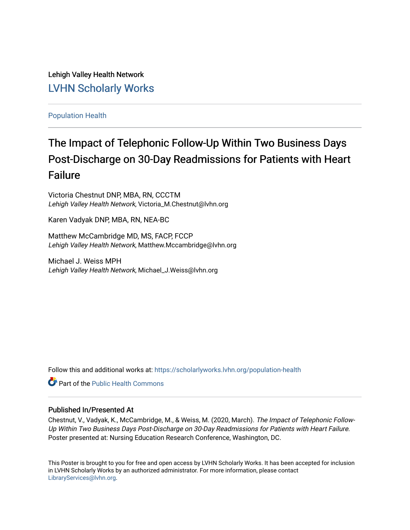Lehigh Valley Health Network [LVHN Scholarly Works](https://scholarlyworks.lvhn.org/)

[Population Health](https://scholarlyworks.lvhn.org/population-health)

#### The Impact of Telephonic Follow-Up Within Two Business Days Post-Discharge on 30-Day Readmissions for Patients with Heart Failure

Victoria Chestnut DNP, MBA, RN, CCCTM Lehigh Valley Health Network, Victoria\_M.Chestnut@lvhn.org

Karen Vadyak DNP, MBA, RN, NEA-BC

Matthew McCambridge MD, MS, FACP, FCCP Lehigh Valley Health Network, Matthew.Mccambridge@lvhn.org

Michael J. Weiss MPH Lehigh Valley Health Network, Michael\_J.Weiss@lvhn.org

Follow this and additional works at: [https://scholarlyworks.lvhn.org/population-health](https://scholarlyworks.lvhn.org/population-health?utm_source=scholarlyworks.lvhn.org%2Fpopulation-health%2F12&utm_medium=PDF&utm_campaign=PDFCoverPages) 

**Part of the Public Health Commons** 

#### Published In/Presented At

Chestnut, V., Vadyak, K., McCambridge, M., & Weiss, M. (2020, March). The Impact of Telephonic Follow-Up Within Two Business Days Post-Discharge on 30-Day Readmissions for Patients with Heart Failure. Poster presented at: Nursing Education Research Conference, Washington, DC.

This Poster is brought to you for free and open access by LVHN Scholarly Works. It has been accepted for inclusion in LVHN Scholarly Works by an authorized administrator. For more information, please contact [LibraryServices@lvhn.org](mailto:LibraryServices@lvhn.org).